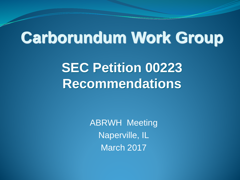### **Carborundum Work Group**

**SEC Petition 00223 Recommendations**

> ABRWH Meeting Naperville, IL March 2017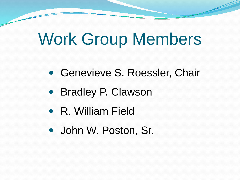## Work Group Members

- Genevieve S. Roessler, Chair
- Bradley P. Clawson
- R. William Field
- John W. Poston, Sr.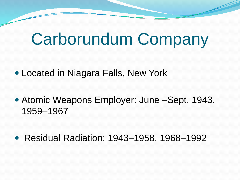### Carborundum Company

- Located in Niagara Falls, New York
- Atomic Weapons Employer: June Sept. 1943, 1959–1967
- Residual Radiation: 1943–1958, 1968–1992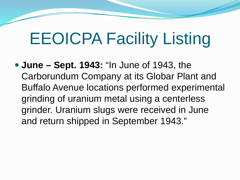## EEOICPA Facility Listing

 **June – Sept. 1943:** "In June of 1943, the Carborundum Company at its Globar Plant and Buffalo Avenue locations performed experimental grinding of uranium metal using a centerless grinder. Uranium slugs were received in June and return shipped in September 1943."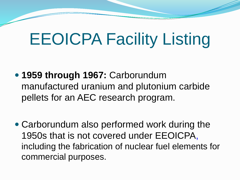## EEOICPA Facility Listing

- **1959 through 1967:** Carborundum manufactured uranium and plutonium carbide pellets for an AEC research program.
- Carborundum also performed work during the 1950s that is not covered under EEOICPA, including the fabrication of nuclear fuel elements for commercial purposes.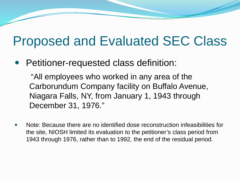### Proposed and Evaluated SEC Class

Petitioner-requested class definition:

"All employees who worked in any area of the Carborundum Company facility on Buffalo Avenue, Niagara Falls, NY, from January 1, 1943 through December 31, 1976."

 Note: Because there are no identified dose reconstruction infeasibilities for the site, NIOSH limited its evaluation to the petitioner's class period from 1943 through 1976, rather than to 1992, the end of the residual period.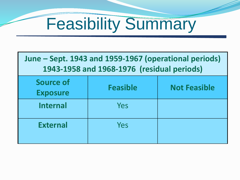

| June – Sept. 1943 and 1959-1967 (operational periods)<br>1943-1958 and 1968-1976 (residual periods) |                 |                     |
|-----------------------------------------------------------------------------------------------------|-----------------|---------------------|
| <b>Source of</b><br><b>Exposure</b>                                                                 | <b>Feasible</b> | <b>Not Feasible</b> |
| <b>Internal</b>                                                                                     | Yes             |                     |
| <b>External</b>                                                                                     | Yes             |                     |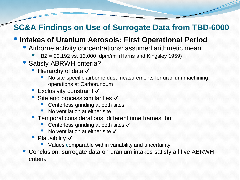#### **SC&A Findings on Use of Surrogate Data from TBD-6000**

#### • **Intakes of Uranium Aerosols: First Operational Period**

- Airborne activity concentrations: assumed arithmetic mean
	- $BZ = 20,192$  vs. 13,000 dpm/m<sup>3</sup> (Harris and Kingsley 1959)
- Satisfy ABRWH criteria?
	- Hierarchy of data √
		- No site-specific airborne dust measurements for uranium machining operations at Carborundum
	- Exclusivity constraint √
	- Site and process similarities √
		- Centerless grinding at both sites
		- No ventilation at either site
	- Temporal considerations: different time frames, but
		- Centerless grinding at both sites √
		- No ventilation at either site  $\checkmark$
	- Plausibility √
		- Values comparable within variability and uncertainty
- Conclusion: surrogate data on uranium intakes satisfy all five ABRWH criteria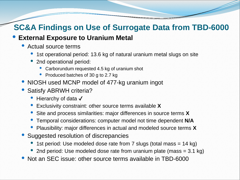### **SC&A Findings on Use of Surrogate Data from TBD-6000**

#### **External Exposure to Uranium Metal**

- Actual source terms
	- 1st operational period: 13.6 kg of natural uranium metal slugs on site
	- 2nd operational period:
		- Carborundum requested 4.5 kg of uranium shot
		- Produced batches of 30 g to 2.7 kg
- NIOSH used MCNP model of 477-kg uranium ingot
- Satisfy ABRWH criteria?
	- Hierarchy of data  $\sqrt{}$
	- Exclusivity constraint: other source terms available **<sup>X</sup>**
	- Site and process similarities: major differences in source terms **<sup>X</sup>**
	- Temporal considerations: computer model not time dependent **N/A**
	- Plausibility: major differences in actual and modeled source terms **<sup>X</sup>**
- Suggested resolution of discrepancies
	- 1st period: Use modeled dose rate from 7 slugs (total mass = 14 kg)
	- 2nd period: Use modeled dose rate from uranium plate (mass  $=$  3.1 kg)
- Not an SEC issue: other source terms available in TBD-6000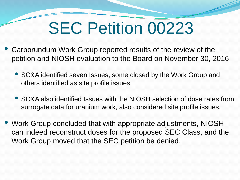## SEC Petition 00223

- Carborundum Work Group reported results of the review of the petition and NIOSH evaluation to the Board on November 30, 2016.
	- SC&A identified seven Issues, some closed by the Work Group and others identified as site profile issues.
	- SC&A also identified Issues with the NIOSH selection of dose rates from surrogate data for uranium work, also considered site profile issues.
- Work Group concluded that with appropriate adjustments, NIOSH can indeed reconstruct doses for the proposed SEC Class, and the Work Group moved that the SEC petition be denied.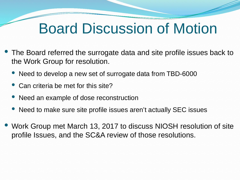### Board Discussion of Motion

- The Board referred the surrogate data and site profile issues back to the Work Group for resolution.
	- Need to develop a new set of surrogate data from TBD-6000
	- Can criteria be met for this site?
	- Need an example of dose reconstruction
	- Need to make sure site profile issues aren't actually SEC issues
- Work Group met March 13, 2017 to discuss NIOSH resolution of site profile Issues, and the SC&A review of those resolutions.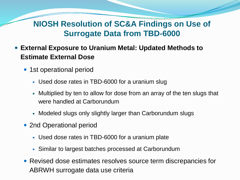#### **NIOSH Resolution of SC&A Findings on Use of Surrogate Data from TBD-6000**

- **External Exposure to Uranium Metal: Updated Methods to Estimate External Dose**
	- 1st operational period
		- Used dose rates in TBD-6000 for a uranium slug
		- Multiplied by ten to allow for dose from an array of the ten slugs that were handled at Carborundum
		- Modeled slugs only slightly larger than Carborundum slugs
	- 2nd Operational period
		- Used dose rates in TBD-6000 for a uranium plate
		- Similar to largest batches processed at Carborundum
	- Revised dose estimates resolves source term discrepancies for ABRWH surrogate data use criteria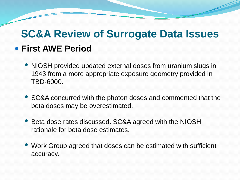### **SC&A Review of Surrogate Data Issues First AWE Period**

- NIOSH provided updated external doses from uranium slugs in 1943 from a more appropriate exposure geometry provided in TBD-6000.
- SC&A concurred with the photon doses and commented that the beta doses may be overestimated.
- Beta dose rates discussed. SC&A agreed with the NIOSH rationale for beta dose estimates.
- Work Group agreed that doses can be estimated with sufficient accuracy.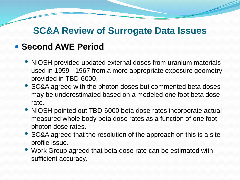#### **SC&A Review of Surrogate Data Issues**

#### **• Second AWE Period**

- NIOSH provided updated external doses from uranium materials used in 1959 - 1967 from a more appropriate exposure geometry provided in TBD-6000.
- SC&A agreed with the photon doses but commented beta doses may be underestimated based on a modeled one foot beta dose rate.
- NIOSH pointed out TBD-6000 beta dose rates incorporate actual measured whole body beta dose rates as a function of one foot photon dose rates.
- SC&A agreed that the resolution of the approach on this is a site profile issue.
- Work Group agreed that beta dose rate can be estimated with sufficient accuracy.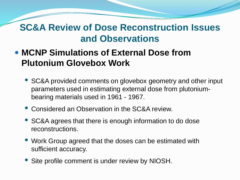- **MCNP Simulations of External Dose from Plutonium Glovebox Work**
	- SC&A provided comments on glovebox geometry and other input parameters used in estimating external dose from plutoniumbearing materials used in 1961 - 1967.
	- Considered an Observation in the SC&A review.
	- SC&A agrees that there is enough information to do dose reconstructions.
	- Work Group agreed that the doses can be estimated with sufficient accuracy.
	- Site profile comment is under review by NIOSH.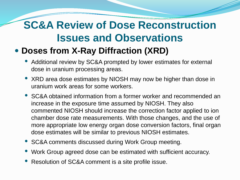#### **Doses from X-Ray Diffraction (XRD)**

- Additional review by SC&A prompted by lower estimates for external dose in uranium processing areas.
- XRD area dose estimates by NIOSH may now be higher than dose in uranium work areas for some workers.
- SC&A obtained information from a former worker and recommended an increase in the exposure time assumed by NIOSH. They also commented NIOSH should increase the correction factor applied to ion chamber dose rate measurements. With those changes, and the use of more appropriate low energy organ dose conversion factors, final organ dose estimates will be similar to previous NIOSH estimates.
- SC&A comments discussed during Work Group meeting.
- Work Group agreed dose can be estimated with sufficient accuracy.
- Resolution of SC&A comment is a site profile issue.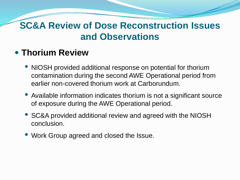#### **Thorium Review**

- NIOSH provided additional response on potential for thorium contamination during the second AWE Operational period from earlier non-covered thorium work at Carborundum.
- Available information indicates thorium is not a significant source of exposure during the AWE Operational period.
- SC&A provided additional review and agreed with the NIOSH conclusion.
- Work Group agreed and closed the Issue.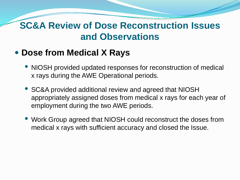#### **Dose from Medical X Rays**

- NIOSH provided updated responses for reconstruction of medical x rays during the AWE Operational periods.
- SC&A provided additional review and agreed that NIOSH appropriately assigned doses from medical x rays for each year of employment during the two AWE periods.
- Work Group agreed that NIOSH could reconstruct the doses from medical x rays with sufficient accuracy and closed the Issue.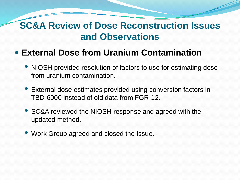#### **External Dose from Uranium Contamination**

- NIOSH provided resolution of factors to use for estimating dose from uranium contamination.
- External dose estimates provided using conversion factors in TBD-6000 instead of old data from FGR-12.
- SC&A reviewed the NIOSH response and agreed with the updated method.
- Work Group agreed and closed the Issue.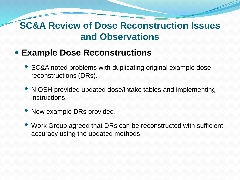#### **Example Dose Reconstructions**

- SC&A noted problems with duplicating original example dose reconstructions (DRs).
- NIOSH provided updated dose/intake tables and implementing instructions.
- New example DRs provided.
- Work Group agreed that DRs can be reconstructed with sufficient accuracy using the updated methods.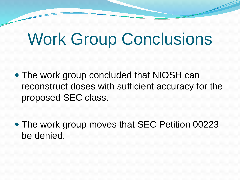## Work Group Conclusions

- The work group concluded that NIOSH can reconstruct doses with sufficient accuracy for the proposed SEC class.
- The work group moves that SEC Petition 00223 be denied.